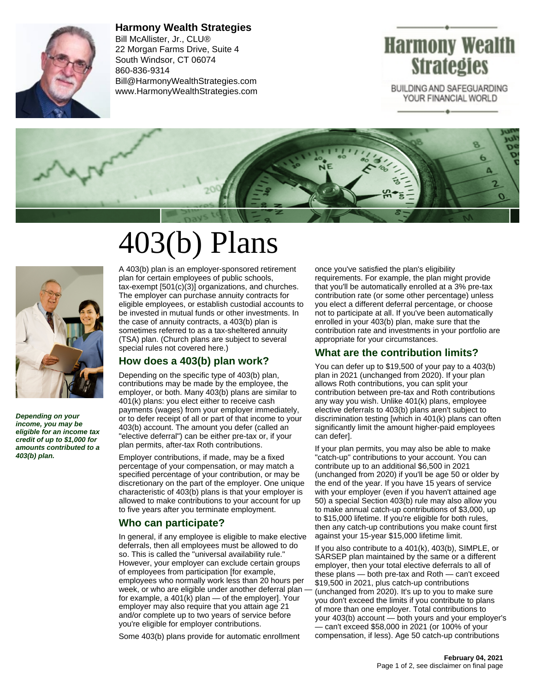

**Harmony Wealth Strategies** Bill McAllister, Jr., CLU® 22 Morgan Farms Drive, Suite 4 South Windsor, CT 06074 860-836-9314 Bill@HarmonyWealthStrategies.com www.HarmonyWealthStrategies.com

# Harmony Wealth **Strategies**

BUILDING AND SAFEGUARDING YOUR FINANCIAL WORLD



# 403(b) Plans



**Depending on your income, you may be eligible for an income tax credit of up to \$1,000 for amounts contributed to a 403(b) plan.**

A 403(b) plan is an employer-sponsored retirement plan for certain employees of public schools, tax-exempt [501(c)(3)] organizations, and churches. The employer can purchase annuity contracts for eligible employees, or establish custodial accounts to be invested in mutual funds or other investments. In the case of annuity contracts, a 403(b) plan is sometimes referred to as a tax-sheltered annuity (TSA) plan. (Church plans are subject to several special rules not covered here.)

# **How does a 403(b) plan work?**

Depending on the specific type of 403(b) plan, contributions may be made by the employee, the employer, or both. Many 403(b) plans are similar to 401(k) plans: you elect either to receive cash payments (wages) from your employer immediately, or to defer receipt of all or part of that income to your 403(b) account. The amount you defer (called an "elective deferral") can be either pre-tax or, if your plan permits, after-tax Roth contributions.

Employer contributions, if made, may be a fixed percentage of your compensation, or may match a specified percentage of your contribution, or may be discretionary on the part of the employer. One unique characteristic of 403(b) plans is that your employer is allowed to make contributions to your account for up to five years after you terminate employment.

# **Who can participate?**

In general, if any employee is eligible to make elective deferrals, then all employees must be allowed to do so. This is called the "universal availability rule." However, your employer can exclude certain groups of employees from participation [for example, employees who normally work less than 20 hours per week, or who are eligible under another deferral plan for example, a 401(k) plan — of the employer]. Your employer may also require that you attain age 21 and/or complete up to two years of service before you're eligible for employer contributions.

Some 403(b) plans provide for automatic enrollment

once you've satisfied the plan's eligibility requirements. For example, the plan might provide that you'll be automatically enrolled at a 3% pre-tax contribution rate (or some other percentage) unless you elect a different deferral percentage, or choose not to participate at all. If you've been automatically enrolled in your 403(b) plan, make sure that the contribution rate and investments in your portfolio are appropriate for your circumstances.

# **What are the contribution limits?**

You can defer up to \$19,500 of your pay to a 403(b) plan in 2021 (unchanged from 2020). If your plan allows Roth contributions, you can split your contribution between pre-tax and Roth contributions any way you wish. Unlike 401(k) plans, employee elective deferrals to 403(b) plans aren't subject to discrimination testing [which in 401(k) plans can often significantly limit the amount higher-paid employees can defer].

If your plan permits, you may also be able to make "catch-up" contributions to your account. You can contribute up to an additional \$6,500 in 2021 (unchanged from 2020) if you'll be age 50 or older by the end of the year. If you have 15 years of service with your employer (even if you haven't attained age 50) a special Section 403(b) rule may also allow you to make annual catch-up contributions of \$3,000, up to \$15,000 lifetime. If you're eligible for both rules, then any catch-up contributions you make count first against your 15-year \$15,000 lifetime limit.

If you also contribute to a 401(k), 403(b), SIMPLE, or SARSEP plan maintained by the same or a different employer, then your total elective deferrals to all of these plans — both pre-tax and Roth — can't exceed \$19,500 in 2021, plus catch-up contributions (unchanged from 2020). It's up to you to make sure you don't exceed the limits if you contribute to plans of more than one employer. Total contributions to your 403(b) account — both yours and your employer's — can't exceed \$58,000 in 2021 (or 100% of your compensation, if less). Age 50 catch-up contributions